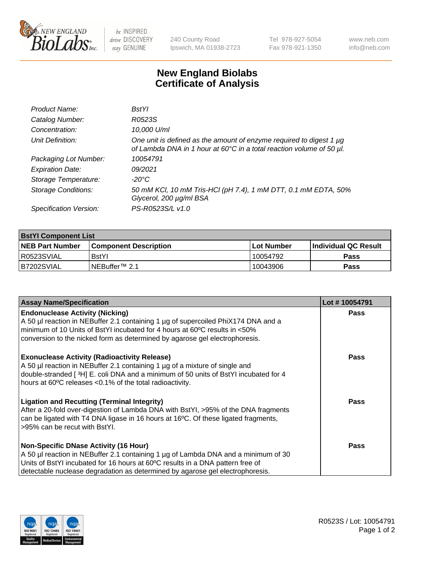

be INSPIRED drive DISCOVERY stay GENUINE

240 County Road Ipswich, MA 01938-2723 Tel 978-927-5054 Fax 978-921-1350

www.neb.com info@neb.com

## **New England Biolabs Certificate of Analysis**

| Product Name:              | <b>BstYl</b>                                                                                                                                     |
|----------------------------|--------------------------------------------------------------------------------------------------------------------------------------------------|
| Catalog Number:            | R0523S                                                                                                                                           |
| Concentration:             | 10,000 U/ml                                                                                                                                      |
| Unit Definition:           | One unit is defined as the amount of enzyme required to digest 1 $\mu$ g<br>of Lambda DNA in 1 hour at 60°C in a total reaction volume of 50 µl. |
| Packaging Lot Number:      | 10054791                                                                                                                                         |
| <b>Expiration Date:</b>    | 09/2021                                                                                                                                          |
| Storage Temperature:       | -20°C                                                                                                                                            |
| <b>Storage Conditions:</b> | 50 mM KCl, 10 mM Tris-HCl (pH 7.4), 1 mM DTT, 0.1 mM EDTA, 50%<br>Glycerol, 200 µg/ml BSA                                                        |
| Specification Version:     | PS-R0523S/L v1.0                                                                                                                                 |

| <b>BstYl Component List</b> |                              |              |                             |  |  |
|-----------------------------|------------------------------|--------------|-----------------------------|--|--|
| <b>NEB Part Number</b>      | <b>Component Description</b> | l Lot Number | <b>Individual QC Result</b> |  |  |
| R0523SVIAL                  | <b>BstYI</b>                 | 10054792     | Pass                        |  |  |
| B7202SVIAL                  | INEBuffer <sup>™</sup> 2.1   | 10043906     | Pass                        |  |  |

| <b>Assay Name/Specification</b>                                                                                                                                                                                                                                                                       | Lot #10054791 |
|-------------------------------------------------------------------------------------------------------------------------------------------------------------------------------------------------------------------------------------------------------------------------------------------------------|---------------|
| <b>Endonuclease Activity (Nicking)</b><br>A 50 µl reaction in NEBuffer 2.1 containing 1 µg of supercoiled PhiX174 DNA and a<br>minimum of 10 Units of BstYI incubated for 4 hours at 60°C results in <50%<br>conversion to the nicked form as determined by agarose gel electrophoresis.              | <b>Pass</b>   |
| <b>Exonuclease Activity (Radioactivity Release)</b><br>A 50 µl reaction in NEBuffer 2.1 containing 1 µg of a mixture of single and<br>double-stranded [3H] E. coli DNA and a minimum of 50 units of BstYl incubated for 4<br>hours at 60°C releases <0.1% of the total radioactivity.                 | <b>Pass</b>   |
| <b>Ligation and Recutting (Terminal Integrity)</b><br>After a 20-fold over-digestion of Lambda DNA with BstYI, >95% of the DNA fragments<br>can be ligated with T4 DNA ligase in 16 hours at 16°C. Of these ligated fragments,<br>>95% can be recut with BstYl.                                       | <b>Pass</b>   |
| <b>Non-Specific DNase Activity (16 Hour)</b><br>A 50 µl reaction in NEBuffer 2.1 containing 1 µg of Lambda DNA and a minimum of 30<br>Units of BstYI incubated for 16 hours at 60°C results in a DNA pattern free of<br>detectable nuclease degradation as determined by agarose gel electrophoresis. | Pass          |